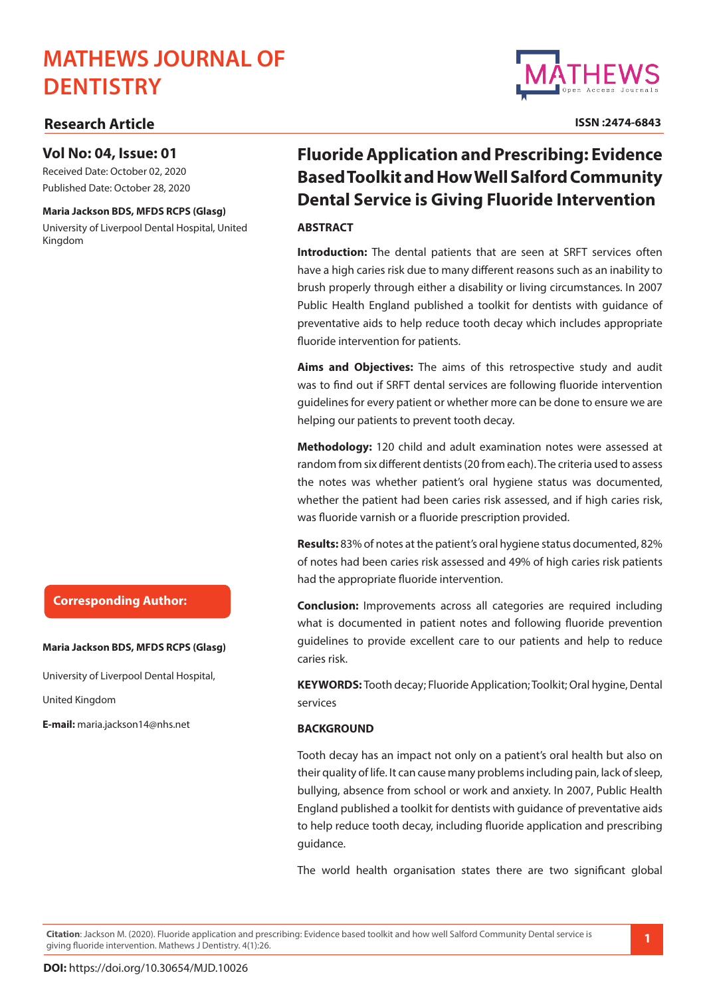# **MATHEWS JOURNAL OF DENTISTRY**

## **Research Article**

### **Vol No: 04, Issue: 01**

Received Date: October 02, 2020 Published Date: October 28, 2020

#### **Maria Jackson BDS, MFDS RCPS (Glasg)**

University of Liverpool Dental Hospital, United Kingdom

## **Corresponding Author:**

#### **Maria Jackson BDS, MFDS RCPS (Glasg)**

University of Liverpool Dental Hospital,

United Kingdom

**E-mail:** maria.jackson14@nhs.net

## **Fluoride Application and Prescribing: Evidence Based Toolkit and How Well Salford Community Dental Service is Giving Fluoride Intervention**

#### **ABSTRACT**

**Introduction:** The dental patients that are seen at SRFT services often have a high caries risk due to many different reasons such as an inability to brush properly through either a disability or living circumstances. In 2007 Public Health England published a toolkit for dentists with guidance of preventative aids to help reduce tooth decay which includes appropriate fluoride intervention for patients.

**Aims and Objectives:** The aims of this retrospective study and audit was to find out if SRFT dental services are following fluoride intervention guidelines for every patient or whether more can be done to ensure we are helping our patients to prevent tooth decay.

**Methodology:** 120 child and adult examination notes were assessed at random from six different dentists (20 from each). The criteria used to assess the notes was whether patient's oral hygiene status was documented, whether the patient had been caries risk assessed, and if high caries risk, was fluoride varnish or a fluoride prescription provided.

**Results:** 83% of notes at the patient's oral hygiene status documented, 82% of notes had been caries risk assessed and 49% of high caries risk patients had the appropriate fluoride intervention.

**Conclusion:** Improvements across all categories are required including what is documented in patient notes and following fluoride prevention guidelines to provide excellent care to our patients and help to reduce caries risk.

**KEYWORDS:** Tooth decay; Fluoride Application; Toolkit; Oral hygine, Dental services

#### **BACKGROUND**

Tooth decay has an impact not only on a patient's oral health but also on their quality of life. It can cause many problems including pain, lack of sleep, bullying, absence from school or work and anxiety. In 2007, Public Health England published a toolkit for dentists with guidance of preventative aids to help reduce tooth decay, including fluoride application and prescribing guidance.

The world health organisation states there are two significant global

**Citation**: Jackson M. (2020). Fluoride application and prescribing: Evidence based toolkit and how well Salford Community Dental service is giving fluoride intervention. Mathews J Dentistry. 4(1):26. **1**



**ISSN :2474-6843**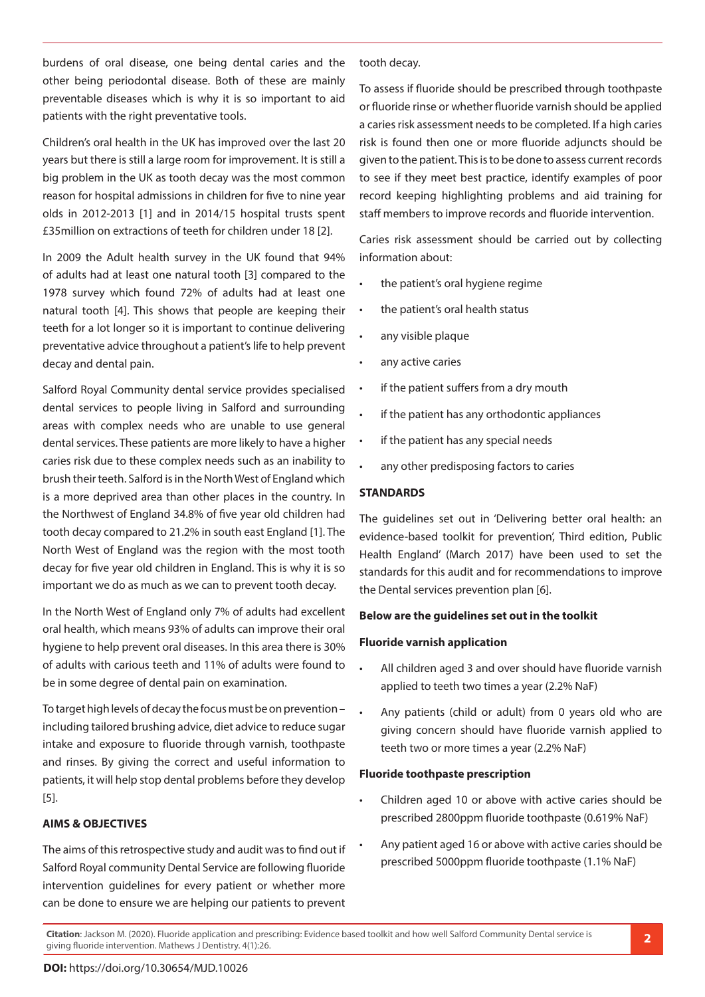burdens of oral disease, one being dental caries and the other being periodontal disease. Both of these are mainly preventable diseases which is why it is so important to aid patients with the right preventative tools.

Children's oral health in the UK has improved over the last 20 years but there is still a large room for improvement. It is still a big problem in the UK as tooth decay was the most common reason for hospital admissions in children for five to nine year olds in 2012-2013 [1] and in 2014/15 hospital trusts spent £35million on extractions of teeth for children under 18 [2].

In 2009 the Adult health survey in the UK found that 94% of adults had at least one natural tooth [3] compared to the 1978 survey which found 72% of adults had at least one natural tooth [4]. This shows that people are keeping their teeth for a lot longer so it is important to continue delivering preventative advice throughout a patient's life to help prevent decay and dental pain.

Salford Royal Community dental service provides specialised dental services to people living in Salford and surrounding areas with complex needs who are unable to use general dental services. These patients are more likely to have a higher caries risk due to these complex needs such as an inability to brush their teeth. Salford is in the North West of England which is a more deprived area than other places in the country. In the Northwest of England 34.8% of five year old children had tooth decay compared to 21.2% in south east England [1]. The North West of England was the region with the most tooth decay for five year old children in England. This is why it is so important we do as much as we can to prevent tooth decay.

In the North West of England only 7% of adults had excellent oral health, which means 93% of adults can improve their oral hygiene to help prevent oral diseases. In this area there is 30% of adults with carious teeth and 11% of adults were found to be in some degree of dental pain on examination.

To target high levels of decay the focus must be on prevention – including tailored brushing advice, diet advice to reduce sugar intake and exposure to fluoride through varnish, toothpaste and rinses. By giving the correct and useful information to patients, it will help stop dental problems before they develop [5].

#### **AIMS & OBJECTIVES**

The aims of this retrospective study and audit was to find out if Salford Royal community Dental Service are following fluoride intervention guidelines for every patient or whether more can be done to ensure we are helping our patients to prevent

tooth decay.

To assess if fluoride should be prescribed through toothpaste or fluoride rinse or whether fluoride varnish should be applied a caries risk assessment needs to be completed. If a high caries risk is found then one or more fluoride adjuncts should be given to the patient. This is to be done to assess current records to see if they meet best practice, identify examples of poor record keeping highlighting problems and aid training for staff members to improve records and fluoride intervention.

Caries risk assessment should be carried out by collecting information about:

- the patient's oral hygiene regime
- the patient's oral health status
- any visible plaque
- any active caries
- if the patient suffers from a dry mouth
- if the patient has any orthodontic appliances
- if the patient has any special needs
- any other predisposing factors to caries

#### **STANDARDS**

The guidelines set out in 'Delivering better oral health: an evidence-based toolkit for prevention', Third edition, Public Health England' (March 2017) have been used to set the standards for this audit and for recommendations to improve the Dental services prevention plan [6].

#### **Below are the guidelines set out in the toolkit**

#### **Fluoride varnish application**

- All children aged 3 and over should have fluoride varnish applied to teeth two times a year (2.2% NaF)
- Any patients (child or adult) from 0 years old who are giving concern should have fluoride varnish applied to teeth two or more times a year (2.2% NaF)

#### **Fluoride toothpaste prescription**

- Children aged 10 or above with active caries should be prescribed 2800ppm fluoride toothpaste (0.619% NaF)
- Any patient aged 16 or above with active caries should be prescribed 5000ppm fluoride toothpaste (1.1% NaF)

**Citation**: Jackson M. (2020). Fluoride application and prescribing: Evidence based toolkit and how well Salford Community Dental service is giving fluoride intervention. Mathews J Dentistry. 4(1):26. **2**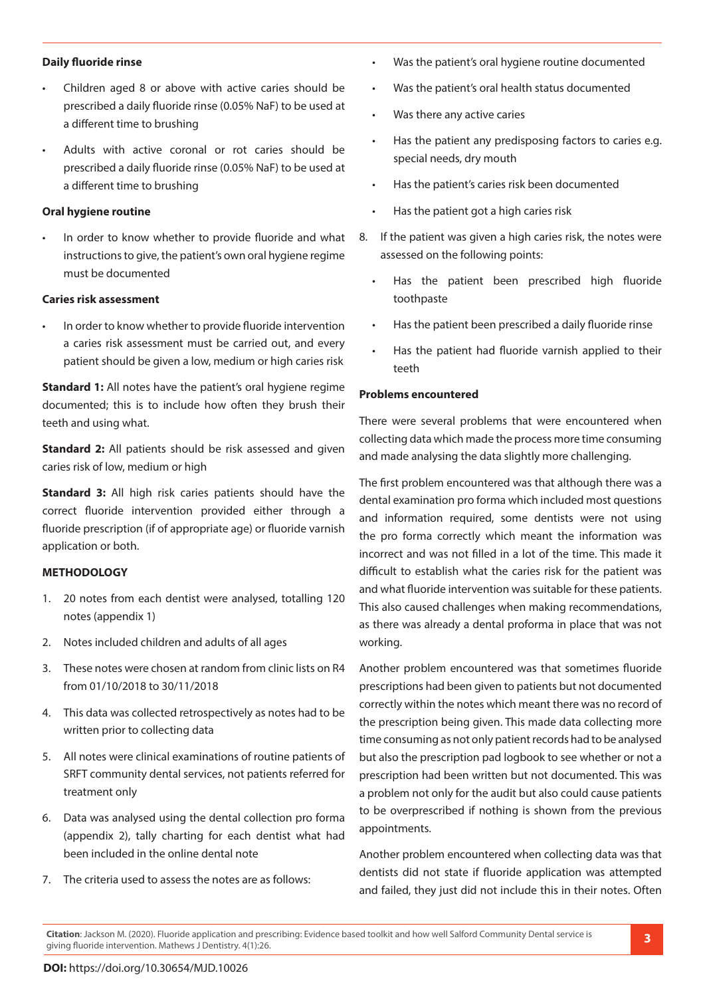#### **Daily fluoride rinse**

- Children aged 8 or above with active caries should be prescribed a daily fluoride rinse (0.05% NaF) to be used at a different time to brushing
- Adults with active coronal or rot caries should be prescribed a daily fluoride rinse (0.05% NaF) to be used at a different time to brushing

#### **Oral hygiene routine**

In order to know whether to provide fluoride and what instructions to give, the patient's own oral hygiene regime must be documented

#### **Caries risk assessment**

In order to know whether to provide fluoride intervention a caries risk assessment must be carried out, and every patient should be given a low, medium or high caries risk

**Standard 1:** All notes have the patient's oral hygiene regime documented; this is to include how often they brush their teeth and using what.

**Standard 2:** All patients should be risk assessed and given caries risk of low, medium or high

**Standard 3:** All high risk caries patients should have the correct fluoride intervention provided either through a fluoride prescription (if of appropriate age) or fluoride varnish application or both.

#### **METHODOLOGY**

- 1. 20 notes from each dentist were analysed, totalling 120 notes (appendix 1)
- 2. Notes included children and adults of all ages
- 3. These notes were chosen at random from clinic lists on R4 from 01/10/2018 to 30/11/2018
- 4. This data was collected retrospectively as notes had to be written prior to collecting data
- 5. All notes were clinical examinations of routine patients of SRFT community dental services, not patients referred for treatment only
- 6. Data was analysed using the dental collection pro forma (appendix 2), tally charting for each dentist what had been included in the online dental note
- 7. The criteria used to assess the notes are as follows:
- • Was the patient's oral hygiene routine documented
- • Was the patient's oral health status documented
- • Was there any active caries
- Has the patient any predisposing factors to caries e.g. special needs, dry mouth
- Has the patient's caries risk been documented
- Has the patient got a high caries risk
- 8. If the patient was given a high caries risk, the notes were assessed on the following points:
	- Has the patient been prescribed high fluoride toothpaste
	- Has the patient been prescribed a daily fluoride rinse
	- Has the patient had fluoride varnish applied to their teeth

#### **Problems encountered**

There were several problems that were encountered when collecting data which made the process more time consuming and made analysing the data slightly more challenging.

The first problem encountered was that although there was a dental examination pro forma which included most questions and information required, some dentists were not using the pro forma correctly which meant the information was incorrect and was not filled in a lot of the time. This made it difficult to establish what the caries risk for the patient was and what fluoride intervention was suitable for these patients. This also caused challenges when making recommendations, as there was already a dental proforma in place that was not working.

Another problem encountered was that sometimes fluoride prescriptions had been given to patients but not documented correctly within the notes which meant there was no record of the prescription being given. This made data collecting more time consuming as not only patient records had to be analysed but also the prescription pad logbook to see whether or not a prescription had been written but not documented. This was a problem not only for the audit but also could cause patients to be overprescribed if nothing is shown from the previous appointments.

Another problem encountered when collecting data was that dentists did not state if fluoride application was attempted and failed, they just did not include this in their notes. Often

**Citation**: Jackson M. (2020). Fluoride application and prescribing: Evidence based toolkit and how well Salford Community Dental service is giving fluoride intervention. Mathews J Dentistry. 4(1):26. **3**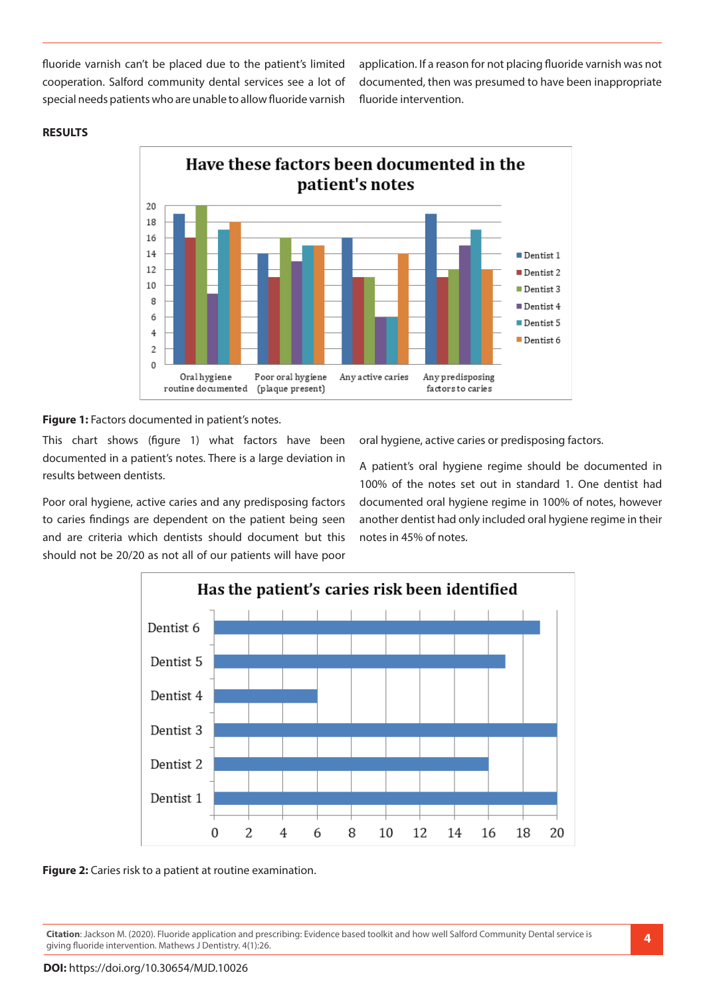fluoride varnish can't be placed due to the patient's limited cooperation. Salford community dental services see a lot of special needs patients who are unable to allow fluoride varnish application. If a reason for not placing fluoride varnish was not documented, then was presumed to have been inappropriate fluoride intervention.



#### **RESULTS**

Figure 1: Factors documented in patient's notes.

This chart shows (figure 1) what factors have been documented in a patient's notes. There is a large deviation in results between dentists.

Poor oral hygiene, active caries and any predisposing factors to caries findings are dependent on the patient being seen and are criteria which dentists should document but this should not be 20/20 as not all of our patients will have poor oral hygiene, active caries or predisposing factors.

A patient's oral hygiene regime should be documented in 100% of the notes set out in standard 1. One dentist had documented oral hygiene regime in 100% of notes, however another dentist had only included oral hygiene regime in their notes in 45% of notes.



**Figure 2:** Caries risk to a patient at routine examination.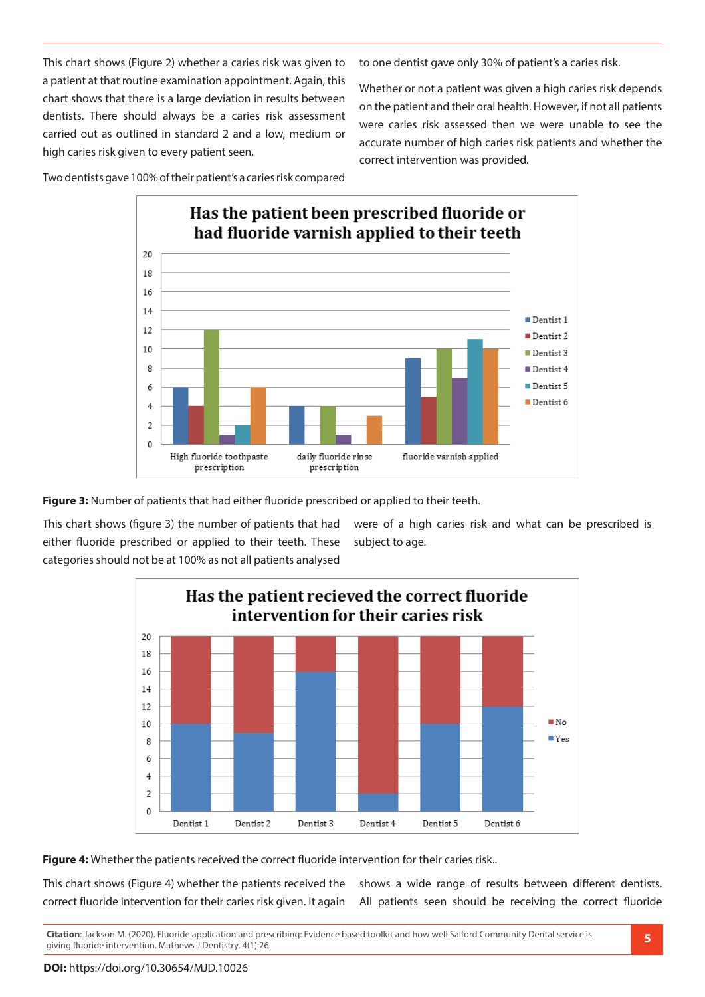This chart shows (Figure 2) whether a caries risk was given to a patient at that routine examination appointment. Again, this chart shows that there is a large deviation in results between dentists. There should always be a caries risk assessment carried out as outlined in standard 2 and a low, medium or high caries risk given to every patient seen.

to one dentist gave only 30% of patient's a caries risk.

Whether or not a patient was given a high caries risk depends on the patient and their oral health. However, if not all patients were caries risk assessed then we were unable to see the accurate number of high caries risk patients and whether the correct intervention was provided.

Two dentists gave 100% of their patient's a caries risk compared



**Figure 3:** Number of patients that had either fluoride prescribed or applied to their teeth.

This chart shows (figure 3) the number of patients that had either fluoride prescribed or applied to their teeth. These categories should not be at 100% as not all patients analysed

were of a high caries risk and what can be prescribed is subject to age.



Figure 4: Whether the patients received the correct fluoride intervention for their caries risk..

This chart shows (Figure 4) whether the patients received the correct fluoride intervention for their caries risk given. It again shows a wide range of results between different dentists. All patients seen should be receiving the correct fluoride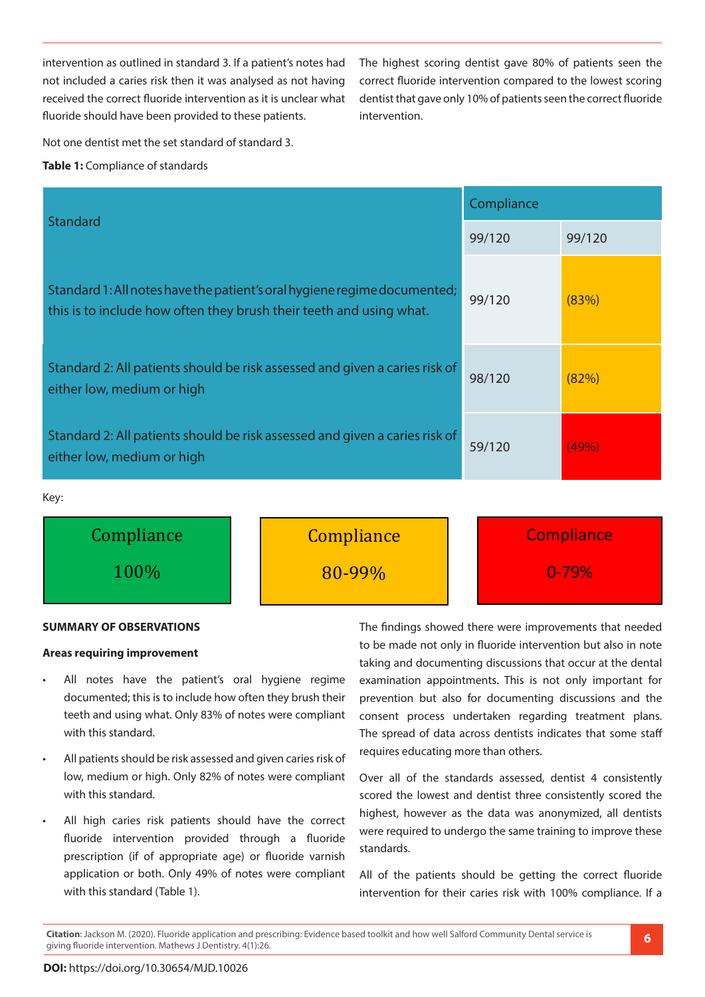intervention as outlined in standard 3. If a patient's notes had not included a caries risk then it was analysed as not having received the correct fluoride intervention as it is unclear what fluoride should have been provided to these patients.

The highest scoring dentist gave 80% of patients seen the correct fluoride intervention compared to the lowest scoring dentist that gave only 10% of patients seen the correct fluoride intervention.

Not one dentist met the set standard of standard 3.

#### **Table 1:** Compliance of standards

|                                                                                                                                                 | Compliance |        |  |
|-------------------------------------------------------------------------------------------------------------------------------------------------|------------|--------|--|
| <b>Standard</b>                                                                                                                                 | 99/120     | 99/120 |  |
| Standard 1: All notes have the patient's oral hygiene regime documented;<br>this is to include how often they brush their teeth and using what. | 99/120     | (83%)  |  |
| Standard 2: All patients should be risk assessed and given a caries risk of<br>either low, medium or high                                       | 98/120     | (82%)  |  |
| Standard 2: All patients should be risk assessed and given a caries risk of<br>either low, medium or high                                       | 59/120     | (49%   |  |

Key:



#### **SUMMARY OF OBSERVATIONS**

#### **Areas requiring improvement**

- All notes have the patient's oral hygiene regime documented; this is to include how often they brush their teeth and using what. Only 83% of notes were compliant with this standard.
- All patients should be risk assessed and given caries risk of low, medium or high. Only 82% of notes were compliant with this standard.
- All high caries risk patients should have the correct fluoride intervention provided through a fluoride prescription (if of appropriate age) or fluoride varnish application or both. Only 49% of notes were compliant with this standard (Table 1).

The findings showed there were improvements that needed to be made not only in fluoride intervention but also in note taking and documenting discussions that occur at the dental examination appointments. This is not only important for prevention but also for documenting discussions and the consent process undertaken regarding treatment plans. The spread of data across dentists indicates that some staff requires educating more than others.

Over all of the standards assessed, dentist 4 consistently scored the lowest and dentist three consistently scored the highest, however as the data was anonymized, all dentists were required to undergo the same training to improve these standards.

All of the patients should be getting the correct fluoride intervention for their caries risk with 100% compliance. If a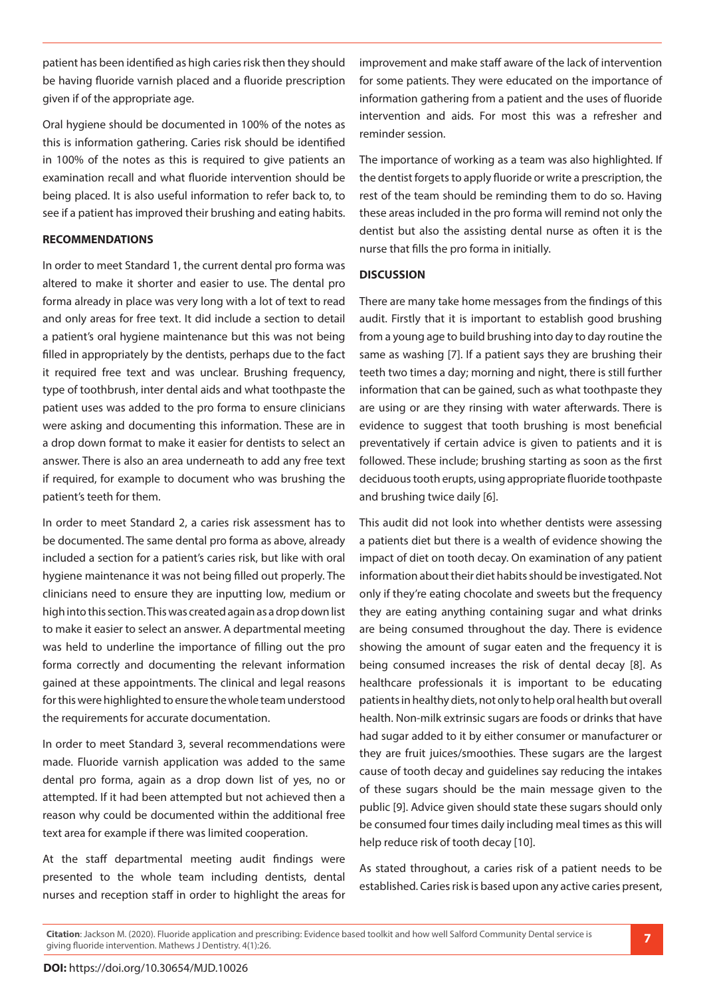patient has been identified as high caries risk then they should be having fluoride varnish placed and a fluoride prescription given if of the appropriate age.

Oral hygiene should be documented in 100% of the notes as this is information gathering. Caries risk should be identified in 100% of the notes as this is required to give patients an examination recall and what fluoride intervention should be being placed. It is also useful information to refer back to, to see if a patient has improved their brushing and eating habits.

#### **RECOMMENDATIONS**

In order to meet Standard 1, the current dental pro forma was altered to make it shorter and easier to use. The dental pro forma already in place was very long with a lot of text to read and only areas for free text. It did include a section to detail a patient's oral hygiene maintenance but this was not being filled in appropriately by the dentists, perhaps due to the fact it required free text and was unclear. Brushing frequency, type of toothbrush, inter dental aids and what toothpaste the patient uses was added to the pro forma to ensure clinicians were asking and documenting this information. These are in a drop down format to make it easier for dentists to select an answer. There is also an area underneath to add any free text if required, for example to document who was brushing the patient's teeth for them.

In order to meet Standard 2, a caries risk assessment has to be documented. The same dental pro forma as above, already included a section for a patient's caries risk, but like with oral hygiene maintenance it was not being filled out properly. The clinicians need to ensure they are inputting low, medium or high into this section. This was created again as a drop down list to make it easier to select an answer. A departmental meeting was held to underline the importance of filling out the pro forma correctly and documenting the relevant information gained at these appointments. The clinical and legal reasons for this were highlighted to ensure the whole team understood the requirements for accurate documentation.

In order to meet Standard 3, several recommendations were made. Fluoride varnish application was added to the same dental pro forma, again as a drop down list of yes, no or attempted. If it had been attempted but not achieved then a reason why could be documented within the additional free text area for example if there was limited cooperation.

At the staff departmental meeting audit findings were presented to the whole team including dentists, dental nurses and reception staff in order to highlight the areas for improvement and make staff aware of the lack of intervention for some patients. They were educated on the importance of information gathering from a patient and the uses of fluoride intervention and aids. For most this was a refresher and reminder session.

The importance of working as a team was also highlighted. If the dentist forgets to apply fluoride or write a prescription, the rest of the team should be reminding them to do so. Having these areas included in the pro forma will remind not only the dentist but also the assisting dental nurse as often it is the nurse that fills the pro forma in initially.

#### **DISCUSSION**

There are many take home messages from the findings of this audit. Firstly that it is important to establish good brushing from a young age to build brushing into day to day routine the same as washing [7]. If a patient says they are brushing their teeth two times a day; morning and night, there is still further information that can be gained, such as what toothpaste they are using or are they rinsing with water afterwards. There is evidence to suggest that tooth brushing is most beneficial preventatively if certain advice is given to patients and it is followed. These include; brushing starting as soon as the first deciduous tooth erupts, using appropriate fluoride toothpaste and brushing twice daily [6].

This audit did not look into whether dentists were assessing a patients diet but there is a wealth of evidence showing the impact of diet on tooth decay. On examination of any patient information about their diet habits should be investigated. Not only if they're eating chocolate and sweets but the frequency they are eating anything containing sugar and what drinks are being consumed throughout the day. There is evidence showing the amount of sugar eaten and the frequency it is being consumed increases the risk of dental decay [8]. As healthcare professionals it is important to be educating patients in healthy diets, not only to help oral health but overall health. Non-milk extrinsic sugars are foods or drinks that have had sugar added to it by either consumer or manufacturer or they are fruit juices/smoothies. These sugars are the largest cause of tooth decay and guidelines say reducing the intakes of these sugars should be the main message given to the public [9]. Advice given should state these sugars should only be consumed four times daily including meal times as this will help reduce risk of tooth decay [10].

As stated throughout, a caries risk of a patient needs to be established. Caries risk is based upon any active caries present,

**Citation**: Jackson M. (2020). Fluoride application and prescribing: Evidence based toolkit and how well Salford Community Dental service is giving fluoride intervention. Mathews J Dentistry. 4(1):26. **7**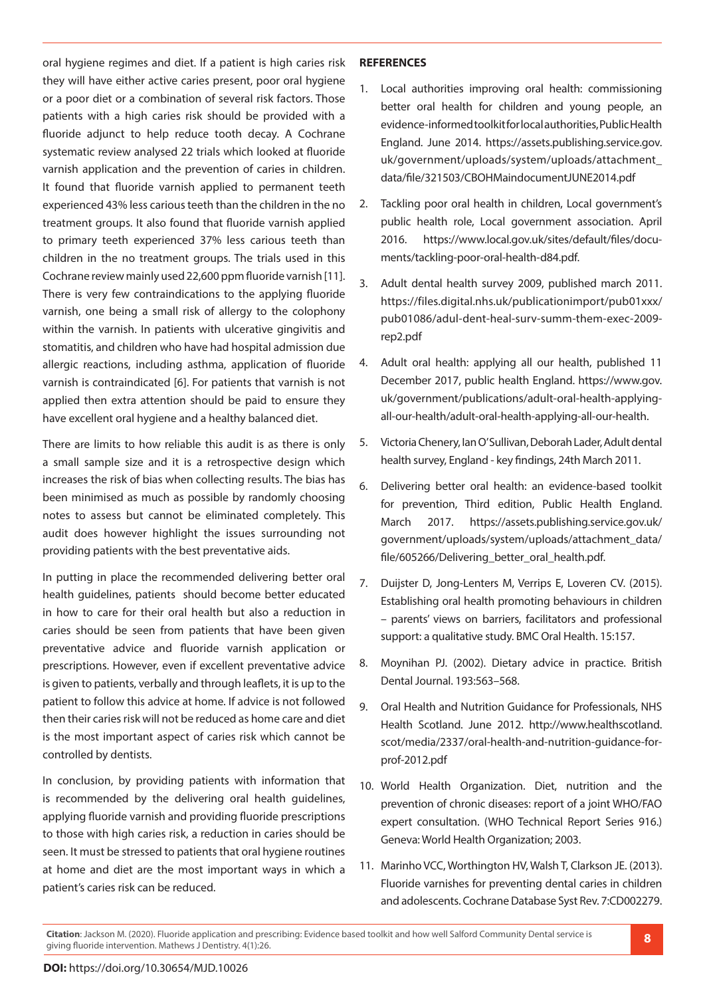oral hygiene regimes and diet. If a patient is high caries risk they will have either active caries present, poor oral hygiene or a poor diet or a combination of several risk factors. Those patients with a high caries risk should be provided with a fluoride adjunct to help reduce tooth decay. A Cochrane systematic review analysed 22 trials which looked at fluoride varnish application and the prevention of caries in children. It found that fluoride varnish applied to permanent teeth experienced 43% less carious teeth than the children in the no treatment groups. It also found that fluoride varnish applied to primary teeth experienced 37% less carious teeth than children in the no treatment groups. The trials used in this Cochrane review mainly used 22,600 ppm fluoride varnish [11]. There is very few contraindications to the applying fluoride varnish, one being a small risk of allergy to the colophony within the varnish. In patients with ulcerative gingivitis and stomatitis, and children who have had hospital admission due allergic reactions, including asthma, application of fluoride varnish is contraindicated [6]. For patients that varnish is not applied then extra attention should be paid to ensure they have excellent oral hygiene and a healthy balanced diet.

There are limits to how reliable this audit is as there is only a small sample size and it is a retrospective design which increases the risk of bias when collecting results. The bias has been minimised as much as possible by randomly choosing notes to assess but cannot be eliminated completely. This audit does however highlight the issues surrounding not providing patients with the best preventative aids.

In putting in place the recommended delivering better oral health guidelines, patients should become better educated in how to care for their oral health but also a reduction in caries should be seen from patients that have been given preventative advice and fluoride varnish application or prescriptions. However, even if excellent preventative advice is given to patients, verbally and through leaflets, it is up to the patient to follow this advice at home. If advice is not followed then their caries risk will not be reduced as home care and diet is the most important aspect of caries risk which cannot be controlled by dentists.

In conclusion, by providing patients with information that is recommended by the delivering oral health guidelines, applying fluoride varnish and providing fluoride prescriptions to those with high caries risk, a reduction in caries should be seen. It must be stressed to patients that oral hygiene routines at home and diet are the most important ways in which a patient's caries risk can be reduced.

#### **REFERENCES**

- 1. Local authorities improving oral health: commissioning better oral health for children and young people, an evidence-informed toolkit for local authorities, Public Health England. June 2014. https://assets.publishing.service.gov. uk/government/uploads/system/uploads/attachment\_ data/file/321503/CBOHMaindocumentJUNE2014.pdf
- 2. Tackling poor oral health in children, Local government's public health role, Local government association. April 2016. https://www.local.gov.uk/sites/default/files/documents/tackling-poor-oral-health-d84.pdf.
- 3. Adult dental health survey 2009, published march 2011. https://files.digital.nhs.uk/publicationimport/pub01xxx/ pub01086/adul-dent-heal-surv-summ-them-exec-2009 rep2.pdf
- 4. Adult oral health: applying all our health, published 11 December 2017, public health England. https://www.gov. uk/government/publications/adult-oral-health-applyingall-our-health/adult-oral-health-applying-all-our-health.
- 5. Victoria Chenery, Ian O' Sullivan, Deborah Lader, Adult dental health survey, England - key findings, 24th March 2011.
- 6. Delivering better oral health: an evidence-based toolkit for prevention, Third edition, Public Health England. March 2017. https://assets.publishing.service.gov.uk/ government/uploads/system/uploads/attachment\_data/ file/605266/Delivering\_better\_oral\_health.pdf.
- 7. Duijster D, Jong-Lenters M, Verrips E, Loveren CV. (2015). Establishing oral health promoting behaviours in children – parents' views on barriers, facilitators and professional support: a qualitative study. BMC Oral Health. 15:157.
- 8. Moynihan PJ. (2002). Dietary advice in practice. British Dental Journal. 193:563–568.
- 9. Oral Health and Nutrition Guidance for Professionals, NHS Health Scotland. June 2012. http://www.healthscotland. scot/media/2337/oral-health-and-nutrition-guidance-forprof-2012.pdf
- 10. World Health Organization. Diet, nutrition and the prevention of chronic diseases: report of a joint WHO/FAO expert consultation. (WHO Technical Report Series 916.) Geneva: World Health Organization; 2003.
- 11. Marinho VCC, Worthington HV, Walsh T, Clarkson JE. (2013). Fluoride varnishes for preventing dental caries in children and adolescents. Cochrane Database Syst Rev. 7:CD002279.